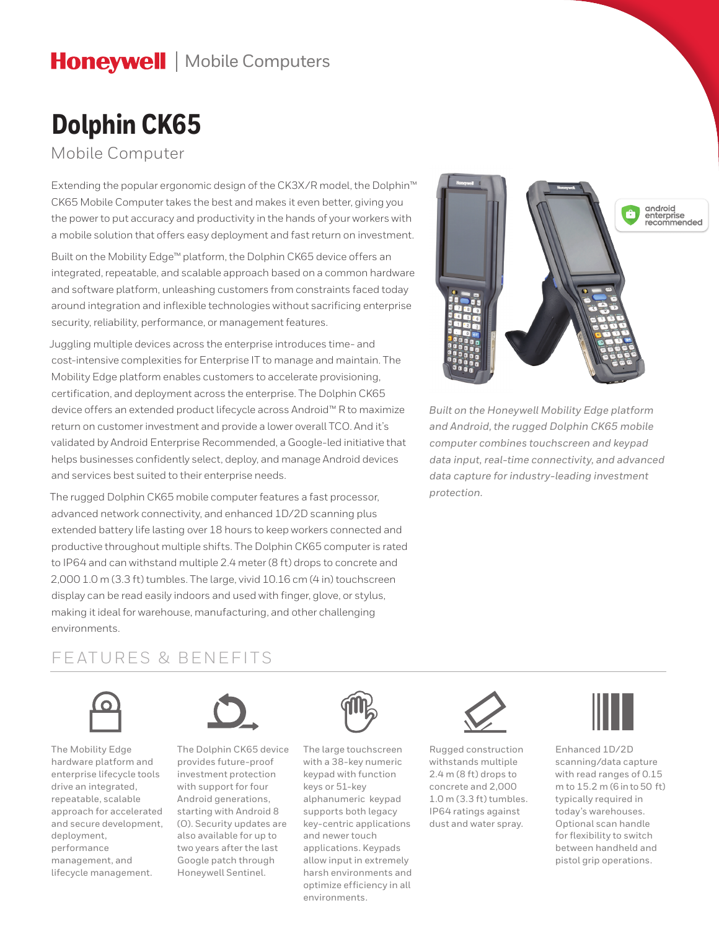## **Honeywell** | Mobile Computers

# **Dolphin CK65**

Mobile Computer

Extending the popular ergonomic design of the CK3X/R model, the Dolphin™ CK65 Mobile Computer takes the best and makes it even better, giving you the power to put accuracy and productivity in the hands of your workers with a mobile solution that offers easy deployment and fast return on investment.

Built on the Mobility Edge™ platform, the Dolphin CK65 device offers an integrated, repeatable, and scalable approach based on a common hardware and software platform, unleashing customers from constraints faced today around integration and inflexible technologies without sacrificing enterprise security, reliability, performance, or management features.

Juggling multiple devices across the enterprise introduces time- and cost-intensive complexities for Enterprise IT to manage and maintain. The Mobility Edge platform enables customers to accelerate provisioning, certification, and deployment across the enterprise. The Dolphin CK65 device offers an extended product lifecycle across Android™ R to maximize return on customer investment and provide a lower overall TCO. And it's validated by Android Enterprise Recommended, a Google-led initiative that helps businesses confidently select, deploy, and manage Android devices and services best suited to their enterprise needs.

The rugged Dolphin CK65 mobile computer features a fast processor, advanced network connectivity, and enhanced 1D/2D scanning plus extended battery life lasting over 18 hours to keep workers connected and productive throughout multiple shifts. The Dolphin CK65 computer is rated to IP64 and can withstand multiple 2.4 meter (8 ft) drops to concrete and 2,000 1.0 m (3.3 ft) tumbles. The large, vivid 10.16 cm (4 in) touchscreen display can be read easily indoors and used with finger, glove, or stylus, making it ideal for warehouse, manufacturing, and other challenging environments.



*Built on the Honeywell Mobility Edge platform and Android, the rugged Dolphin CK65 mobile computer combines touchscreen and keypad data input, real-time connectivity, and advanced data capture for industry-leading investment protection.*

### FEATURES & BENEFITS



The Mobility Edge hardware platform and enterprise lifecycle tools drive an integrated, repeatable, scalable approach for accelerated and secure development, deployment, performance management, and lifecycle management.



The Dolphin CK65 device provides future-proof investment protection with support for four Android generations, starting with Android 8 (O). Security updates are also available for up to two years after the last Google patch through Honeywell Sentinel.



The large touchscreen with a 38-key numeric keypad with function keys or 51-key alphanumeric keypad supports both legacy key-centric applications and newer touch applications. Keypads allow input in extremely harsh environments and optimize efficiency in all environments.



Rugged construction withstands multiple 2.4 m (8 ft) drops to concrete and 2,000 1.0 m (3.3 ft) tumbles. IP64 ratings against dust and water spray.



Enhanced 1D/2D scanning/data capture with read ranges of 0.15 m to 15.2 m (6 in to 50 ft) typically required in today's warehouses. Optional scan handle for flexibility to switch between handheld and pistol grip operations.